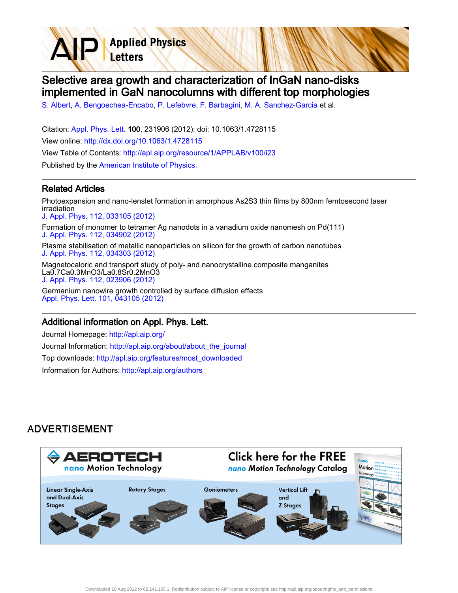**Applied Physics** Letters

# Selective area growth and characterization of InGaN nano-disks implemented in GaN nanocolumns with different top morphologies

[S. Albert](http://apl.aip.org/search?sortby=newestdate&q=&searchzone=2&searchtype=searchin&faceted=faceted&key=AIP_ALL&possible1=S. Albert&possible1zone=author&alias=&displayid=AIP&ver=pdfcov), [A. Bengoechea-Encabo](http://apl.aip.org/search?sortby=newestdate&q=&searchzone=2&searchtype=searchin&faceted=faceted&key=AIP_ALL&possible1=A. Bengoechea-Encabo&possible1zone=author&alias=&displayid=AIP&ver=pdfcov), [P. Lefebvre](http://apl.aip.org/search?sortby=newestdate&q=&searchzone=2&searchtype=searchin&faceted=faceted&key=AIP_ALL&possible1=P. Lefebvre&possible1zone=author&alias=&displayid=AIP&ver=pdfcov), [F. Barbagini](http://apl.aip.org/search?sortby=newestdate&q=&searchzone=2&searchtype=searchin&faceted=faceted&key=AIP_ALL&possible1=F. Barbagini&possible1zone=author&alias=&displayid=AIP&ver=pdfcov), [M. A. Sanchez-Garcia](http://apl.aip.org/search?sortby=newestdate&q=&searchzone=2&searchtype=searchin&faceted=faceted&key=AIP_ALL&possible1=M. A. Sanchez-Garcia&possible1zone=author&alias=&displayid=AIP&ver=pdfcov) et al.

Citation: [Appl. Phys. Lett. 1](http://apl.aip.org/?ver=pdfcov)00, 231906 (2012); doi: 10.1063/1.4728115 View online: [http://dx.doi.org/10.1063/1.4728115](http://link.aip.org/link/doi/10.1063/1.4728115?ver=pdfcov) View Table of Contents: [http://apl.aip.org/resource/1/APPLAB/v100/i23](http://apl.aip.org/resource/1/APPLAB/v100/i23?ver=pdfcov) Published by the [American Institute of Physics.](http://www.aip.org/?ver=pdfcov)

#### Related Articles

Photoexpansion and nano-lenslet formation in amorphous As2S3 thin films by 800nm femtosecond laser irradiation [J. Appl. Phys. 112, 033105 \(2012\)](http://link.aip.org/link/doi/10.1063/1.4745021?ver=pdfcov) Formation of monomer to tetramer Ag nanodots in a vanadium oxide nanomesh on Pd(111) [J. Appl. Phys. 112, 034902 \(2012\)](http://link.aip.org/link/doi/10.1063/1.4742049?ver=pdfcov) Plasma stabilisation of metallic nanoparticles on silicon for the growth of carbon nanotubes [J. Appl. Phys. 112, 034303 \(2012\)](http://link.aip.org/link/doi/10.1063/1.4740468?ver=pdfcov) Magnetocaloric and transport study of poly- and nanocrystalline composite manganites

La0.7Ca0.3MnO3/La0.8Sr0.2MnO3 [J. Appl. Phys. 112, 023906 \(2012\)](http://link.aip.org/link/doi/10.1063/1.4739262?ver=pdfcov)

Germanium nanowire growth controlled by surface diffusion effects [Appl. Phys. Lett. 101, 043105 \(2012\)](http://link.aip.org/link/doi/10.1063/1.4737004?ver=pdfcov)

#### Additional information on Appl. Phys. Lett.

Journal Homepage: [http://apl.aip.org/](http://apl.aip.org/?ver=pdfcov) Journal Information: [http://apl.aip.org/about/about\\_the\\_journal](http://apl.aip.org/about/about_the_journal?ver=pdfcov) Top downloads: [http://apl.aip.org/features/most\\_downloaded](http://apl.aip.org/features/most_downloaded?ver=pdfcov) Information for Authors: [http://apl.aip.org/authors](http://apl.aip.org/authors?ver=pdfcov)

## **ADVERTISEMENT**

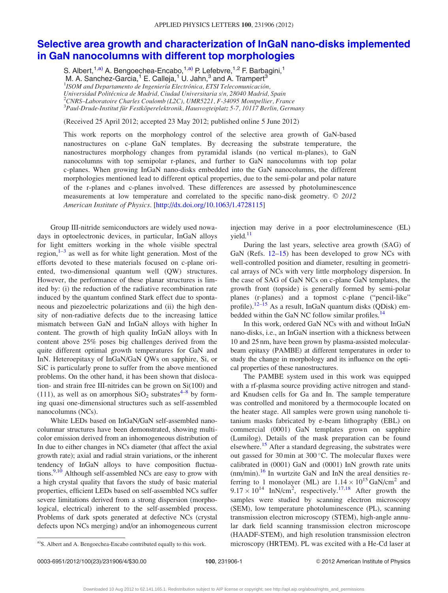### [Selective area growth and characterization of InGaN nano-disks implemented](http://dx.doi.org/10.1063/1.4728115) [in GaN nanocolumns with different top morphologies](http://dx.doi.org/10.1063/1.4728115)

S. Albert,<sup>1,a)</sup> A. Bengoechea-Encabo,<sup>1,a)</sup> P. Lefebvre,<sup>1,2</sup> F. Barbagini,<sup>1</sup> M. A. Sanchez-Garcia,<sup>1</sup> E. Calleja,<sup>1</sup> U. Jahn,<sup>3</sup> and A. Trampert<sup>3</sup> *ISOM and Departamento de Ingeniería Electrónica, ETSI Telecomunicación,* Universidad Politécnica de Madrid, Ciudad Universitaria s/n, 28040 Madrid, Spain  $^{2}$ CNRS–Laboratoire Charles Coulomb (L2C), UMR5221, F-34095 Montpellier, France  $^3$ Paul-Drude-Institut für Festköperelektronik, Hausvogteiplatz 5-7, 10117 Berlin, Germany

(Received 25 April 2012; accepted 23 May 2012; published online 5 June 2012)

This work reports on the morphology control of the selective area growth of GaN-based nanostructures on c-plane GaN templates. By decreasing the substrate temperature, the nanostructures morphology changes from pyramidal islands (no vertical m-planes), to GaN nanocolumns with top semipolar r-planes, and further to GaN nanocolumns with top polar c-planes. When growing InGaN nano-disks embedded into the GaN nanocolumns, the different morphologies mentioned lead to different optical properties, due to the semi-polar and polar nature of the r-planes and c-planes involved. These differences are assessed by photoluminescence measurements at low temperature and correlated to the specific nano-disk geometry.  $\odot$  2012 American Institute of Physics. [\[http://dx.doi.org/10.1063/1.4728115](http://dx.doi.org/10.1063/1.4728115)]

Group III-nitride semiconductors are widely used nowadays in optoelectronic devices, in particular, InGaN alloys for light emitters working in the whole visible spectral region, $1-3$  as well as for white light generation. Most of the efforts devoted to these materials focused on c-plane oriented, two-dimensional quantum well (QW) structures. However, the performance of these planar structures is limited by: (i) the reduction of the radiative recombination rate induced by the quantum confined Stark effect due to spontaneous and piezoelectric polarizations and (ii) the high density of non-radiative defects due to the increasing lattice mismatch between GaN and InGaN alloys with higher In content. The growth of high quality InGaN alloys with In content above 25% poses big challenges derived from the quite different optimal growth temperatures for GaN and InN. Heteroepitaxy of InGaN/GaN QWs on sapphire, Si, or SiC is particularly prone to suffer from the above mentioned problems. On the other hand, it has been shown that dislocation- and strain free III-nitrides can be grown on Si(100) and (111), as well as on amorphous  $SiO<sub>2</sub>$  substrates<sup>[4–8](#page-4-0)</sup> by forming quasi one-dimensional structures such as self-assembled nanocolumns (NCs).

White LEDs based on InGaN/GaN self-assembled nanocolumnar structures have been demonstrated, showing multicolor emission derived from an inhomogeneous distribution of In due to either changes in NCs diameter (that affect the axial growth rate); axial and radial strain variations, or the inherent tendency of InGaN alloys to have composition fluctua-tions.<sup>9,[10](#page-4-0)</sup> Although self-assembled NCs are easy to grow with a high crystal quality that favors the study of basic material properties, efficient LEDs based on self-assembled NCs suffer severe limitations derived from a strong dispersion (morphological, electrical) inherent to the self-assembled process. Problems of dark spots generated at defective NCs (crystal defects upon NCs merging) and/or an inhomogeneous current

injection may derive in a poor electroluminescence (EL)  $yield.<sup>11</sup>$ 

During the last years, selective area growth (SAG) of GaN (Refs. [12–15](#page-4-0)) has been developed to grow NCs with well-controlled position and diameter, resulting in geometrical arrays of NCs with very little morphology dispersion. In the case of SAG of GaN NCs on c-plane GaN templates, the growth front (topside) is generally formed by semi-polar planes (r-planes) and a topmost c-plane ("pencil-like" profile).<sup>12–15</sup> As a result, InGaN quantum disks (QDisk) em-bedded within the GaN NC follow similar profiles.<sup>[14](#page-4-0)</sup>

In this work, ordered GaN NCs with and without InGaN nano-disks, i.e., an InGaN insertion with a thickness between 10 and 25 nm, have been grown by plasma-assisted molecularbeam epitaxy (PAMBE) at different temperatures in order to study the change in morphology and its influence on the optical properties of these nanostructures.

The PAMBE system used in this work was equipped with a rf-plasma source providing active nitrogen and standard Knudsen cells for Ga and In. The sample temperature was controlled and monitored by a thermocouple located on the heater stage. All samples were grown using nanohole titanium masks fabricated by e-beam lithography (EBL) on commercial (0001) GaN templates grown on sapphire (Lumilog). Details of the mask preparation can be found elsewhere.<sup>[15](#page-4-0)</sup> After a standard degreasing, the substrates were out gassed for  $30 \text{ min}$  at  $300 \degree \text{C}$ . The molecular fluxes were calibrated in (0001) GaN and (0001) InN growth rate units  $(nm/min).$ <sup>16</sup> In wurtzite GaN and InN the areal densities referring to 1 monolayer (ML) are  $1.14 \times 10^{15}$  GaN/cm<sup>2</sup> and  $9.17 \times 10^{14}$  InN/cm<sup>2</sup>, respectively.<sup>[17,18](#page-4-0)</sup> After growth the samples were studied by scanning electron microscopy (SEM), low temperature photoluminescence (PL), scanning transmission electron microscopy (STEM), high-angle annular dark field scanning transmission electron microscope (HAADF-STEM), and high resolution transmission electron a)S. Albert and A. Bengoechea-Encabo contributed equally to this work. microscopy (HRTEM). PL was excited with a He-Cd laser at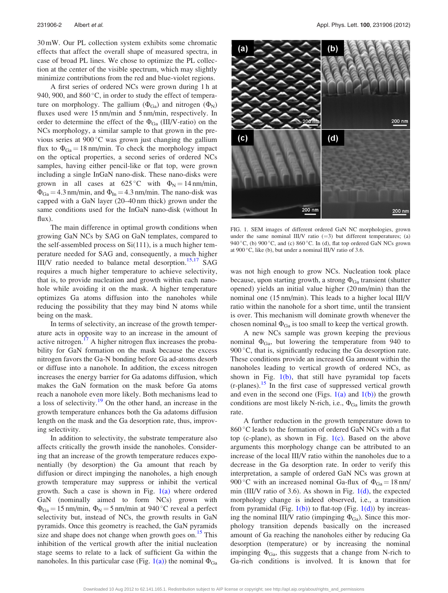<span id="page-2-0"></span>30 mW. Our PL collection system exhibits some chromatic effects that affect the overall shape of measured spectra, in case of broad PL lines. We chose to optimize the PL collection at the center of the visible spectrum, which may slightly minimize contributions from the red and blue-violet regions.

A first series of ordered NCs were grown during 1 h at 940, 900, and  $860^{\circ}$ C, in order to study the effect of temperature on morphology. The gallium  $(\Phi_{Ga})$  and nitrogen  $(\Phi_N)$ fluxes used were 15 nm/min and 5 nm/min, respectively. In order to determine the effect of the  $\Phi_{Ga}$  (III/V-ratio) on the NCs morphology, a similar sample to that grown in the previous series at 900 °C was grown just changing the gallium flux to  $\Phi_{Ga} = 18 \text{ nm/min}$ . To check the morphology impact on the optical properties, a second series of ordered NCs samples, having either pencil-like or flat top, were grown including a single InGaN nano-disk. These nano-disks were grown in all cases at  $625^{\circ}$ C with  $\Phi_N = 14$  nm/min,  $\Phi_{Ga} = 4.3$  nm/min, and  $\Phi_{In} = 4.3$  nm/min. The nano-disk was capped with a GaN layer (20–40 nm thick) grown under the same conditions used for the InGaN nano-disk (without In flux).

The main difference in optimal growth conditions when growing GaN NCs by SAG on GaN templates, compared to the self-assembled process on Si(111), is a much higher temperature needed for SAG and, consequently, a much higher III/V ratio needed to balance metal desorption.<sup>15,17</sup> SAG requires a much higher temperature to achieve selectivity, that is, to provide nucleation and growth within each nanohole while avoiding it on the mask. A higher temperature optimizes Ga atoms diffusion into the nanoholes while reducing the possibility that they may bind N atoms while being on the mask.

In terms of selectivity, an increase of the growth temperature acts in opposite way to an increase in the amount of active nitrogen.<sup>[17](#page-4-0)</sup> A higher nitrogen flux increases the probability for GaN formation on the mask because the excess nitrogen favors the Ga-N bonding before Ga ad-atoms desorb or diffuse into a nanohole. In addition, the excess nitrogen increases the energy barrier for Ga adatoms diffusion, which makes the GaN formation on the mask before Ga atoms reach a nanohole even more likely. Both mechanisms lead to a loss of selectivity.<sup>[19](#page-4-0)</sup> On the other hand, an increase in the growth temperature enhances both the Ga adatoms diffusion length on the mask and the Ga desorption rate, thus, improving selectivity.

In addition to selectivity, the substrate temperature also affects critically the growth inside the nanoholes. Considering that an increase of the growth temperature reduces exponentially (by desorption) the Ga amount that reach by diffusion or direct impinging the nanoholes, a high enough growth temperature may suppress or inhibit the vertical growth. Such a case is shown in Fig.  $1(a)$  where ordered GaN (nominally aimed to form NCs) grown with  $\Phi_{Ga} = 15$  nm/min,  $\Phi_N = 5$  nm/min at 940 °C reveal a perfect selectivity but, instead of NCs, the growth results in GaN pyramids. Once this geometry is reached, the GaN pyramids size and shape does not change when growth goes on.<sup>[15](#page-4-0)</sup> This inhibition of the vertical growth after the initial nucleation stage seems to relate to a lack of sufficient Ga within the nanoholes. In this particular case (Fig. 1(a)) the nominal  $\Phi_{Ga}$ 



FIG. 1. SEM images of different ordered GaN NC morphologies, grown under the same nominal III/V ratio  $(=3)$  but different temperatures; (a) 940 °C, (b) 900 °C, and (c) 860 °C. In (d), flat top ordered GaN NCs grown at 900 $\,^{\circ}$ C, like (b), but under a nominal III/V ratio of 3.6.

was not high enough to grow NCs. Nucleation took place because, upon starting growth, a strong  $\Phi_{Ga}$  transient (shutter opened) yields an initial value higher (20 nm/min) than the nominal one (15 nm/min). This leads to a higher local III/V ratio within the nanohole for a short time, until the transient is over. This mechanism will dominate growth whenever the chosen nominal  $\Phi_{Ga}$  is too small to keep the vertical growth.

A new NCs sample was grown keeping the previous nominal  $\Phi_{Ga}$ , but lowering the temperature from 940 to 900 °C, that is, significantly reducing the Ga desorption rate. These conditions provide an increased Ga amount within the nanoholes leading to vertical growth of ordered NCs, as shown in Fig.  $1(b)$ , that still have pyramidal top facets  $(r$ -planes).<sup>[15](#page-4-0)</sup> In the first case of suppressed vertical growth and even in the second one (Figs.  $1(a)$  and  $1(b)$ ) the growth conditions are most likely N-rich, i.e.,  $\Phi_{Ga}$  limits the growth rate.

A further reduction in the growth temperature down to 860 °C leads to the formation of ordered GaN NCs with a flat top (c-plane), as shown in Fig.  $1(c)$ . Based on the above arguments this morphology change can be attributed to an increase of the local III/V ratio within the nanoholes due to a decrease in the Ga desorption rate. In order to verify this interpretation, a sample of ordered GaN NCs was grown at 900 °C with an increased nominal Ga-flux of  $\Phi_{Ga} = 18$  nm/ min (III/V ratio of 3.6). As shown in Fig.  $1(d)$ , the expected morphology change is indeed observed, i.e., a transition from pyramidal (Fig.  $1(b)$ ) to flat-top (Fig.  $1(d)$ ) by increasing the nominal III/V ratio (impinging  $\Phi_{Ga}$ ). Since this morphology transition depends basically on the increased amount of Ga reaching the nanoholes either by reducing Ga desorption (temperature) or by increasing the nominal impinging  $\Phi_{Ga}$ , this suggests that a change from N-rich to Ga-rich conditions is involved. It is known that for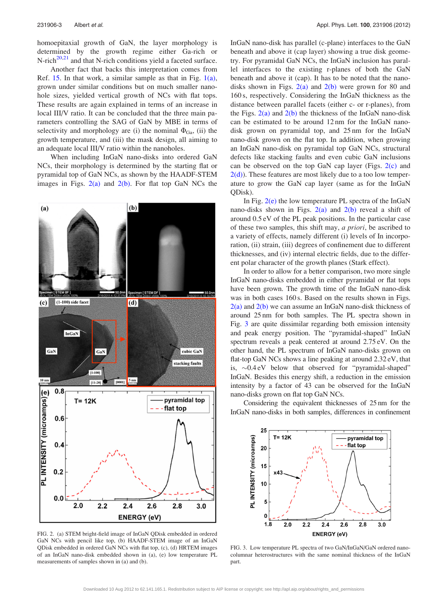<span id="page-3-0"></span>homoepitaxial growth of GaN, the layer morphology is determined by the growth regime either Ga-rich or N-rich<sup>[20,21](#page-4-0)</sup> and that N-rich conditions yield a faceted surface.

Another fact that backs this interpretation comes from Ref. [15.](#page-4-0) In that work, a similar sample as that in Fig. [1\(a\)](#page-2-0), grown under similar conditions but on much smaller nanohole sizes, yielded vertical growth of NCs with flat tops. These results are again explained in terms of an increase in local III/V ratio. It can be concluded that the three main parameters controlling the SAG of GaN by MBE in terms of selectivity and morphology are (i) the nominal  $\Phi_{Ga}$ , (ii) the growth temperature, and (iii) the mask design, all aiming to an adequate local III/V ratio within the nanoholes.

When including InGaN nano-disks into ordered GaN NCs, their morphology is determined by the starting flat or pyramidal top of GaN NCs, as shown by the HAADF-STEM images in Figs.  $2(a)$  and  $2(b)$ . For flat top GaN NCs the



FIG. 2. (a) STEM bright-field image of InGaN QDisk embedded in ordered GaN NCs with pencil like top, (b) HAADF-STEM image of an InGaN QDisk embedded in ordered GaN NCs with flat top, (c), (d) HRTEM images of an InGaN nano-disk embedded shown in (a), (e) low temperature PL measurements of samples shown in (a) and (b).

InGaN nano-disk has parallel (c-plane) interfaces to the GaN beneath and above it (cap layer) showing a true disk geometry. For pyramidal GaN NCs, the InGaN inclusion has parallel interfaces to the existing r-planes of both the GaN beneath and above it (cap). It has to be noted that the nanodisks shown in Figs.  $2(a)$  and  $2(b)$  were grown for 80 and 160 s, respectively. Considering the InGaN thickness as the distance between parallel facets (either c- or r-planes), from the Figs.  $2(a)$  and  $2(b)$  the thickness of the InGaN nano-disk can be estimated to be around 12 nm for the InGaN nanodisk grown on pyramidal top, and 25 nm for the InGaN nano-disk grown on the flat top. In addition, when growing an InGaN nano-disk on pyramidal top GaN NCs, structural defects like stacking faults and even cubic GaN inclusions can be observed on the top GaN cap layer (Figs. 2(c) and  $2(d)$ ). These features are most likely due to a too low temperature to grow the GaN cap layer (same as for the InGaN QDisk).

In Fig.  $2(e)$  the low temperature PL spectra of the InGaN nano-disks shown in Figs.  $2(a)$  and  $2(b)$  reveal a shift of around 0.5 eV of the PL peak positions. In the particular case of these two samples, this shift may, a priori, be ascribed to a variety of effects, namely different (i) levels of In incorporation, (ii) strain, (iii) degrees of confinement due to different thicknesses, and (iv) internal electric fields, due to the different polar character of the growth planes (Stark effect).

In order to allow for a better comparison, two more single InGaN nano-disks embedded in either pyramidal or flat tops have been grown. The growth time of the InGaN nano-disk was in both cases 160 s. Based on the results shown in Figs.  $2(a)$  and  $2(b)$  we can assume an InGaN nano-disk thickness of around 25 nm for both samples. The PL spectra shown in Fig. 3 are quite dissimilar regarding both emission intensity and peak energy position. The "pyramidal-shaped" InGaN spectrum reveals a peak centered at around 2.75 eV. On the other hand, the PL spectrum of InGaN nano-disks grown on flat-top GaN NCs shows a line peaking at around 2.32 eV, that is,  $\sim 0.4 \text{ eV}$  below that observed for "pyramidal-shaped" InGaN. Besides this energy shift, a reduction in the emission intensity by a factor of 43 can be observed for the InGaN nano-disks grown on flat top GaN NCs.

Considering the equivalent thicknesses of 25 nm for the InGaN nano-disks in both samples, differences in confinement



FIG. 3. Low temperature PL spectra of two GaN/InGaN/GaN ordered nanocolumnar heterostructures with the same nominal thickness of the InGaN part.